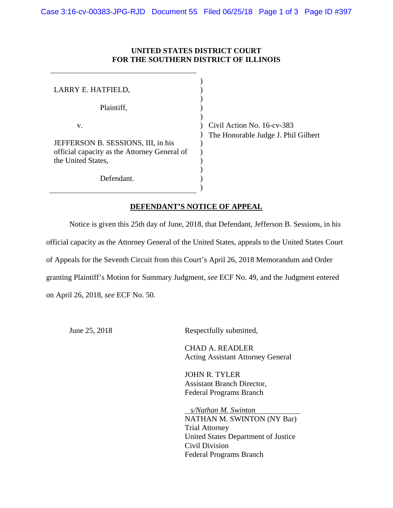## **UNITED STATES DISTRICT COURT FOR THE SOUTHERN DISTRICT OF ILLINOIS**

| LARRY E. HATFIELD,                           |       |
|----------------------------------------------|-------|
|                                              |       |
| Plaintiff,                                   |       |
|                                              |       |
| v.                                           | Civil |
|                                              | The   |
| JEFFERSON B. SESSIONS, III, in his           |       |
| official capacity as the Attorney General of |       |
| the United States,                           |       |
|                                              |       |
| Defendant.                                   |       |
|                                              |       |

Action No.  $16$ -cv-383 Honorable Judge J. Phil Gilbert

## **DEFENDANT'S NOTICE OF APPEAL**

 Notice is given this 25th day of June, 2018, that Defendant, Jefferson B. Sessions, in his official capacity as the Attorney General of the United States, appeals to the United States Court of Appeals for the Seventh Circuit from this Court's April 26, 2018 Memorandum and Order granting Plaintiff's Motion for Summary Judgment, *see* ECF No. 49, and the Judgment entered on April 26, 2018, *see* ECF No. 50.

June 25, 2018 Respectfully submitted,

 CHAD A. READLER Acting Assistant Attorney General

 JOHN R. TYLER Assistant Branch Director, Federal Programs Branch

 *s/Nathan M. Swinton*  NATHAN M. SWINTON (NY Bar) Trial Attorney United States Department of Justice Civil Division Federal Programs Branch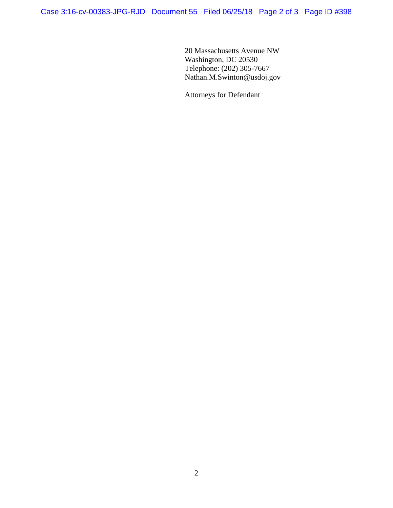20 Massachusetts Avenue NW Washington, DC 20530 Telephone: (202) 305-7667 Nathan.M.Swinton@usdoj.gov

Attorneys for Defendant